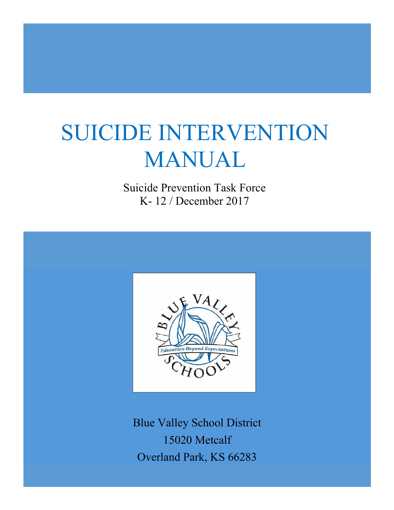# SUICIDE INTERVENTION MANUAL

Suicide Prevention Task Force K- 12 / December 2017



Blue Valley School District 15020 Metcalf Overland Park, KS 66283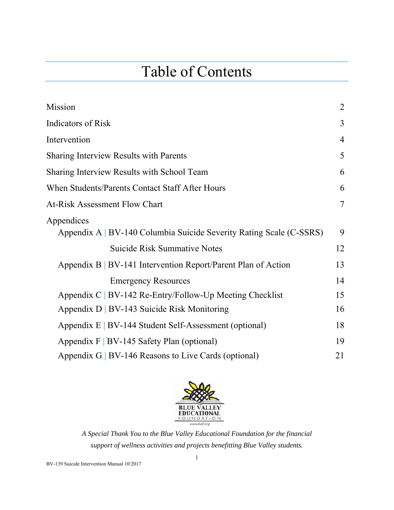# Table of Contents

| Mission                                                             | $\overline{2}$ |
|---------------------------------------------------------------------|----------------|
| <b>Indicators of Risk</b>                                           | 3              |
| Intervention                                                        | 4              |
| <b>Sharing Interview Results with Parents</b>                       | 5              |
| Sharing Interview Results with School Team                          | 6              |
| When Students/Parents Contact Staff After Hours                     | 6              |
| <b>At-Risk Assessment Flow Chart</b>                                | 7              |
| Appendices                                                          |                |
| Appendix A   BV-140 Columbia Suicide Severity Rating Scale (C-SSRS) | 9              |
| <b>Suicide Risk Summative Notes</b>                                 | 12             |
| Appendix $B \mid BV-141$ Intervention Report/Parent Plan of Action  | 13             |
| <b>Emergency Resources</b>                                          | 14             |
| Appendix C   BV-142 Re-Entry/Follow-Up Meeting Checklist            | 15             |
| Appendix D   BV-143 Suicide Risk Monitoring                         | 16             |
| Appendix E   BV-144 Student Self-Assessment (optional)              | 18             |
| Appendix $F   BV-145$ Safety Plan (optional)                        | 19             |
| Appendix G   BV-146 Reasons to Live Cards (optional)                | 21             |



*A Special Thank You to the Blue Valley Educational Foundation for the financial support of wellness activities and projects benefitting Blue Valley students.* 

BV-139 Suicide Intervention Manual 10/2017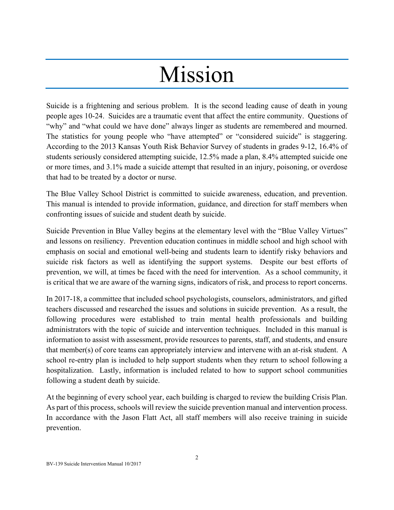# Mission

Suicide is a frightening and serious problem. It is the second leading cause of death in young people ages 10-24. Suicides are a traumatic event that affect the entire community. Questions of "why" and "what could we have done" always linger as students are remembered and mourned. The statistics for young people who "have attempted" or "considered suicide" is staggering. According to the 2013 Kansas Youth Risk Behavior Survey of students in grades 9-12, 16.4% of students seriously considered attempting suicide, 12.5% made a plan, 8.4% attempted suicide one or more times, and 3.1% made a suicide attempt that resulted in an injury, poisoning, or overdose that had to be treated by a doctor or nurse.

The Blue Valley School District is committed to suicide awareness, education, and prevention. This manual is intended to provide information, guidance, and direction for staff members when confronting issues of suicide and student death by suicide.

Suicide Prevention in Blue Valley begins at the elementary level with the "Blue Valley Virtues" and lessons on resiliency. Prevention education continues in middle school and high school with emphasis on social and emotional well-being and students learn to identify risky behaviors and suicide risk factors as well as identifying the support systems. Despite our best efforts of prevention, we will, at times be faced with the need for intervention. As a school community, it is critical that we are aware of the warning signs, indicators of risk, and process to report concerns.

In 2017-18, a committee that included school psychologists, counselors, administrators, and gifted teachers discussed and researched the issues and solutions in suicide prevention. As a result, the following procedures were established to train mental health professionals and building administrators with the topic of suicide and intervention techniques. Included in this manual is information to assist with assessment, provide resources to parents, staff, and students, and ensure that member(s) of core teams can appropriately interview and intervene with an at-risk student. A school re-entry plan is included to help support students when they return to school following a hospitalization. Lastly, information is included related to how to support school communities following a student death by suicide.

At the beginning of every school year, each building is charged to review the building Crisis Plan. As part of this process, schools will review the suicide prevention manual and intervention process. In accordance with the Jason Flatt Act, all staff members will also receive training in suicide prevention.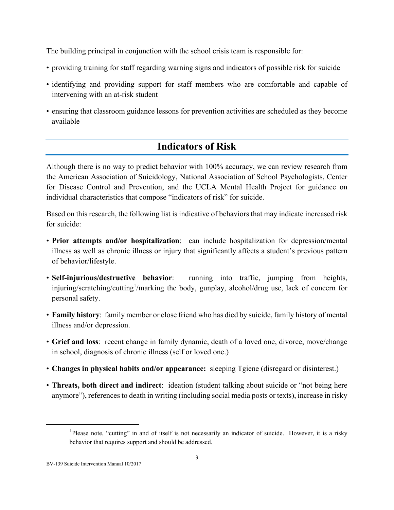The building principal in conjunction with the school crisis team is responsible for:

- providing training for staff regarding warning signs and indicators of possible risk for suicide
- identifying and providing support for staff members who are comfortable and capable of intervening with an at-risk student
- ensuring that classroom guidance lessons for prevention activities are scheduled as they become available

## **Indicators of Risk**

Although there is no way to predict behavior with 100% accuracy, we can review research from the American Association of Suicidology, National Association of School Psychologists, Center for Disease Control and Prevention, and the UCLA Mental Health Project for guidance on individual characteristics that compose "indicators of risk" for suicide.

Based on this research, the following list is indicative of behaviors that may indicate increased risk for suicide:

- **Prior attempts and/or hospitalization**: can include hospitalization for depression/mental illness as well as chronic illness or injury that significantly affects a student's previous pattern of behavior/lifestyle.
- **Self-injurious/destructive behavior**: running into traffic, jumping from heights, injuring/scratching/cutting<sup>1</sup>/marking the body, gunplay, alcohol/drug use, lack of concern for personal safety.
- **Family history**: family member or close friend who has died by suicide, family history of mental illness and/or depression.
- **Grief and loss**: recent change in family dynamic, death of a loved one, divorce, move/change in school, diagnosis of chronic illness (self or loved one.)
- **Changes in physical habits and/or appearance:** sleeping Tgiene (disregard or disinterest.)
- **Threats, both direct and indirect**: ideation (student talking about suicide or "not being here anymore"), references to death in writing (including social media posts or texts), increase in risky

 $\frac{1}{1}$ <sup>1</sup>Please note, "cutting" in and of itself is not necessarily an indicator of suicide. However, it is a risky behavior that requires support and should be addressed.

BV-139 Suicide Intervention Manual 10/2017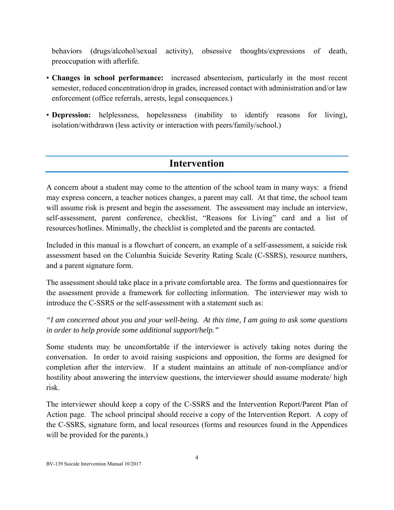behaviors (drugs/alcohol/sexual activity), obsessive thoughts/expressions of death, preoccupation with afterlife.

- **Changes in school performance:** increased absenteeism, particularly in the most recent semester, reduced concentration/drop in grades, increased contact with administration and/or law enforcement (office referrals, arrests, legal consequences.)
- **Depression:** helplessness, hopelessness (inability to identify reasons for living), isolation/withdrawn (less activity or interaction with peers/family/school.)

### **Intervention**

A concern about a student may come to the attention of the school team in many ways: a friend may express concern, a teacher notices changes, a parent may call. At that time, the school team will assume risk is present and begin the assessment. The assessment may include an interview, self-assessment, parent conference, checklist, "Reasons for Living" card and a list of resources/hotlines. Minimally, the checklist is completed and the parents are contacted.

Included in this manual is a flowchart of concern, an example of a self-assessment, a suicide risk assessment based on the Columbia Suicide Severity Rating Scale (C-SSRS), resource numbers, and a parent signature form.

The assessment should take place in a private comfortable area. The forms and questionnaires for the assessment provide a framework for collecting information. The interviewer may wish to introduce the C-SSRS or the self-assessment with a statement such as:

*"I am concerned about you and your well-being. At this time, I am going to ask some questions in order to help provide some additional support/help."* 

Some students may be uncomfortable if the interviewer is actively taking notes during the conversation. In order to avoid raising suspicions and opposition, the forms are designed for completion after the interview. If a student maintains an attitude of non-compliance and/or hostility about answering the interview questions, the interviewer should assume moderate/ high risk.

The interviewer should keep a copy of the C-SSRS and the Intervention Report/Parent Plan of Action page. The school principal should receive a copy of the Intervention Report. A copy of the C-SSRS, signature form, and local resources (forms and resources found in the Appendices will be provided for the parents.)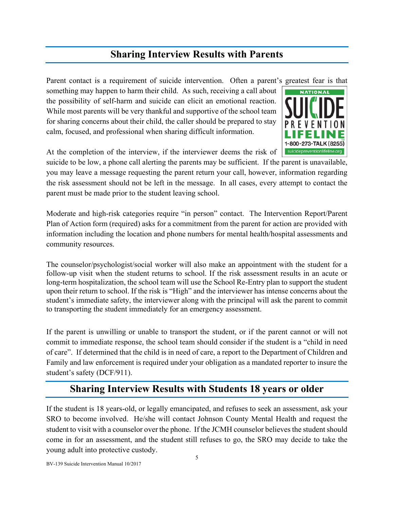## **Sharing Interview Results with Parents**

Parent contact is a requirement of suicide intervention. Often a parent's greatest fear is that something may happen to harm their child. As such, receiving a call about the possibility of self-harm and suicide can elicit an emotional reaction. While most parents will be very thankful and supportive of the school team for sharing concerns about their child, the caller should be prepared to stay calm, focused, and professional when sharing difficult information.



At the completion of the interview, if the interviewer deems the risk of

suicide to be low, a phone call alerting the parents may be sufficient. If the parent is unavailable, you may leave a message requesting the parent return your call, however, information regarding the risk assessment should not be left in the message. In all cases, every attempt to contact the parent must be made prior to the student leaving school.

Moderate and high-risk categories require "in person" contact. The Intervention Report/Parent Plan of Action form (required) asks for a commitment from the parent for action are provided with information including the location and phone numbers for mental health/hospital assessments and community resources.

The counselor/psychologist/social worker will also make an appointment with the student for a follow-up visit when the student returns to school. If the risk assessment results in an acute or long-term hospitalization, the school team will use the School Re-Entry plan to support the student upon their return to school. If the risk is "High" and the interviewer has intense concerns about the student's immediate safety, the interviewer along with the principal will ask the parent to commit to transporting the student immediately for an emergency assessment.

If the parent is unwilling or unable to transport the student, or if the parent cannot or will not commit to immediate response, the school team should consider if the student is a "child in need of care". If determined that the child is in need of care, a report to the Department of Children and Family and law enforcement is required under your obligation as a mandated reporter to insure the student's safety (DCF/911).

### **Sharing Interview Results with Students 18 years or older**

If the student is 18 years-old, or legally emancipated, and refuses to seek an assessment, ask your SRO to become involved. He/she will contact Johnson County Mental Health and request the student to visit with a counselor over the phone. If the JCMH counselor believes the student should come in for an assessment, and the student still refuses to go, the SRO may decide to take the young adult into protective custody.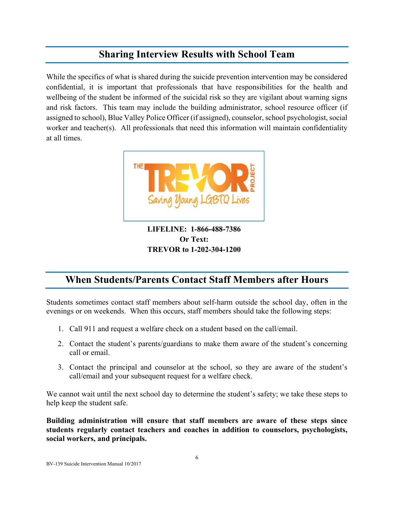## **Sharing Interview Results with School Team**

While the specifics of what is shared during the suicide prevention intervention may be considered confidential, it is important that professionals that have responsibilities for the health and wellbeing of the student be informed of the suicidal risk so they are vigilant about warning signs and risk factors. This team may include the building administrator, school resource officer (if assigned to school), Blue Valley Police Officer (if assigned), counselor, school psychologist, social worker and teacher(s). All professionals that need this information will maintain confidentiality at all times.



**LIFELINE: 1-866-488-7386 Or Text: TREVOR to 1-202-304-1200** 

## **When Students/Parents Contact Staff Members after Hours**

Students sometimes contact staff members about self-harm outside the school day, often in the evenings or on weekends. When this occurs, staff members should take the following steps:

- 1. Call 911 and request a welfare check on a student based on the call/email.
- 2. Contact the student's parents/guardians to make them aware of the student's concerning call or email.
- 3. Contact the principal and counselor at the school, so they are aware of the student's call/email and your subsequent request for a welfare check.

We cannot wait until the next school day to determine the student's safety; we take these steps to help keep the student safe.

**Building administration will ensure that staff members are aware of these steps since students regularly contact teachers and coaches in addition to counselors, psychologists, social workers, and principals.**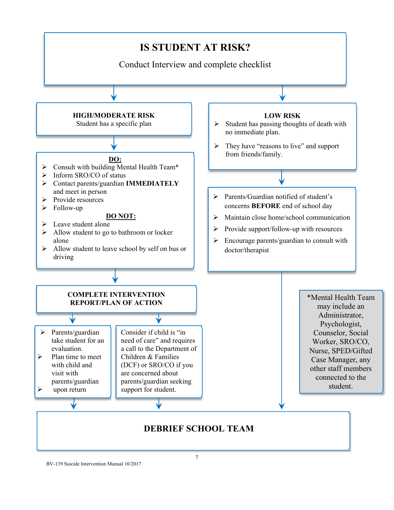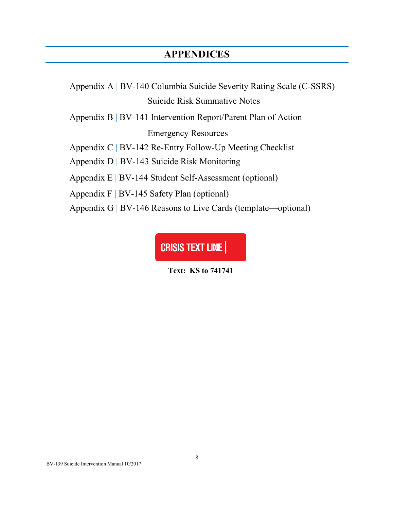## **APPENDICES**

Appendix A | BV-140 Columbia Suicide Severity Rating Scale (C-SSRS) Suicide Risk Summative Notes

Appendix B | BV-141 Intervention Report/Parent Plan of Action

Emergency Resources

Appendix C | BV-142 Re-Entry Follow-Up Meeting Checklist

Appendix D | BV-143 Suicide Risk Monitoring

Appendix E | BV-144 Student Self-Assessment (optional)

Appendix F | BV-145 Safety Plan (optional)

Appendix G | BV-146 Reasons to Live Cards (template—optional)

**CRISIS TEXT LINE** 

**Text: KS to 741741**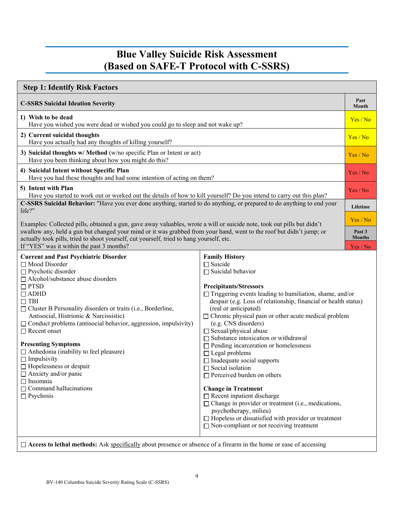## **Blue Valley Suicide Risk Assessment (Based on SAFE-T Protocol with C-SSRS)**

| <b>Step 1: Identify Risk Factors</b>                                                                                                                                                                                                                                                                                                                                                                                                                                                                                                                                                                                                                      |                                                                                                                                                                                                                                                                                                                                                                                                                                                                                                                                                                                                                                                                                                                                                                                                                                                                                                    |                         |  |
|-----------------------------------------------------------------------------------------------------------------------------------------------------------------------------------------------------------------------------------------------------------------------------------------------------------------------------------------------------------------------------------------------------------------------------------------------------------------------------------------------------------------------------------------------------------------------------------------------------------------------------------------------------------|----------------------------------------------------------------------------------------------------------------------------------------------------------------------------------------------------------------------------------------------------------------------------------------------------------------------------------------------------------------------------------------------------------------------------------------------------------------------------------------------------------------------------------------------------------------------------------------------------------------------------------------------------------------------------------------------------------------------------------------------------------------------------------------------------------------------------------------------------------------------------------------------------|-------------------------|--|
| <b>C-SSRS Suicidal Ideation Severity</b>                                                                                                                                                                                                                                                                                                                                                                                                                                                                                                                                                                                                                  |                                                                                                                                                                                                                                                                                                                                                                                                                                                                                                                                                                                                                                                                                                                                                                                                                                                                                                    | Past<br>Month           |  |
| 1) Wish to be dead<br>Have you wished you were dead or wished you could go to sleep and not wake up?                                                                                                                                                                                                                                                                                                                                                                                                                                                                                                                                                      |                                                                                                                                                                                                                                                                                                                                                                                                                                                                                                                                                                                                                                                                                                                                                                                                                                                                                                    |                         |  |
| 2) Current suicidal thoughts<br>Have you actually had any thoughts of killing yourself?                                                                                                                                                                                                                                                                                                                                                                                                                                                                                                                                                                   |                                                                                                                                                                                                                                                                                                                                                                                                                                                                                                                                                                                                                                                                                                                                                                                                                                                                                                    | Yes/No                  |  |
| 3) Suicidal thoughts w/ Method (w/no specific Plan or Intent or act)<br>Have you been thinking about how you might do this?                                                                                                                                                                                                                                                                                                                                                                                                                                                                                                                               |                                                                                                                                                                                                                                                                                                                                                                                                                                                                                                                                                                                                                                                                                                                                                                                                                                                                                                    | Yes/No                  |  |
| 4) Suicidal Intent without Specific Plan<br>Have you had these thoughts and had some intention of acting on them?                                                                                                                                                                                                                                                                                                                                                                                                                                                                                                                                         |                                                                                                                                                                                                                                                                                                                                                                                                                                                                                                                                                                                                                                                                                                                                                                                                                                                                                                    | Yes / No                |  |
| 5) Intent with Plan<br>Have you started to work out or worked out the details of how to kill yourself? Do you intend to carry out this plan?                                                                                                                                                                                                                                                                                                                                                                                                                                                                                                              |                                                                                                                                                                                                                                                                                                                                                                                                                                                                                                                                                                                                                                                                                                                                                                                                                                                                                                    | Yes / No                |  |
| C-SSRS Suicidal Behavior: "Have you ever done anything, started to do anything, or prepared to do anything to end your<br>life?"                                                                                                                                                                                                                                                                                                                                                                                                                                                                                                                          |                                                                                                                                                                                                                                                                                                                                                                                                                                                                                                                                                                                                                                                                                                                                                                                                                                                                                                    | Lifetime                |  |
| Examples: Collected pills, obtained a gun, gave away valuables, wrote a will or suicide note, took out pills but didn't                                                                                                                                                                                                                                                                                                                                                                                                                                                                                                                                   |                                                                                                                                                                                                                                                                                                                                                                                                                                                                                                                                                                                                                                                                                                                                                                                                                                                                                                    | Yes / No                |  |
| swallow any, held a gun but changed your mind or it was grabbed from your hand, went to the roof but didn't jump; or<br>actually took pills, tried to shoot yourself, cut yourself, tried to hang yourself, etc.                                                                                                                                                                                                                                                                                                                                                                                                                                          |                                                                                                                                                                                                                                                                                                                                                                                                                                                                                                                                                                                                                                                                                                                                                                                                                                                                                                    | Past 3<br><b>Months</b> |  |
| If "YES" was it within the past 3 months?                                                                                                                                                                                                                                                                                                                                                                                                                                                                                                                                                                                                                 |                                                                                                                                                                                                                                                                                                                                                                                                                                                                                                                                                                                                                                                                                                                                                                                                                                                                                                    | Yes / No                |  |
| <b>Current and Past Psychiatric Disorder</b><br>$\Box$ Mood Disorder<br>$\Box$ Psychotic disorder<br>$\Box$ Alcohol/substance abuse disorders<br>$\Box$ PTSD<br>$\Box$ ADHD<br>$\Box$ TBI<br>$\Box$ Cluster B Personality disorders or traits (i.e., Borderline,<br>Antisocial, Histrionic & Narcissistic)<br>$\Box$ Conduct problems (antisocial behavior, aggression, impulsivity)<br>$\Box$ Recent onset<br><b>Presenting Symptoms</b><br>$\Box$ Anhedonia (inability to feel pleasure)<br>$\Box$ Impulsivity<br>$\Box$ Hopelessness or despair<br>$\Box$ Anxiety and/or panic<br>$\Box$ Insomnia<br>$\Box$ Command hallucinations<br>$\Box$ Psychosis | <b>Family History</b><br>$\Box$ Suicide<br>$\Box$ Suicidal behavior<br><b>Precipitants/Stressors</b><br>$\Box$ Triggering events leading to humiliation, shame, and/or<br>despair (e.g. Loss of relationship, financial or health status)<br>(real or anticipated)<br>$\Box$ Chronic physical pain or other acute medical problem<br>(e.g. CNS disorders)<br>$\Box$ Sexual/physical abuse<br>$\Box$ Substance intoxication or withdrawal<br>$\Box$ Pending incarceration or homelessness<br>$\Box$ Legal problems<br>$\Box$ Inadequate social supports<br>$\Box$ Social isolation<br>$\Box$ Perceived burden on others<br><b>Change in Treatment</b><br>$\Box$ Recent inpatient discharge<br>$\Box$ Change in provider or treatment (i.e., medications,<br>psychotherapy, milieu)<br>$\Box$ Hopeless or dissatisfied with provider or treatment<br>$\Box$ Non-compliant or not receiving treatment |                         |  |
| to lether methoder. Agly angeificelly shout measures or changes of a finance in the home or associated                                                                                                                                                                                                                                                                                                                                                                                                                                                                                                                                                    |                                                                                                                                                                                                                                                                                                                                                                                                                                                                                                                                                                                                                                                                                                                                                                                                                                                                                                    |                         |  |

□ **Access to lethal methods:** Ask specifically about presence or absence of a firearm in the home or ease of accessing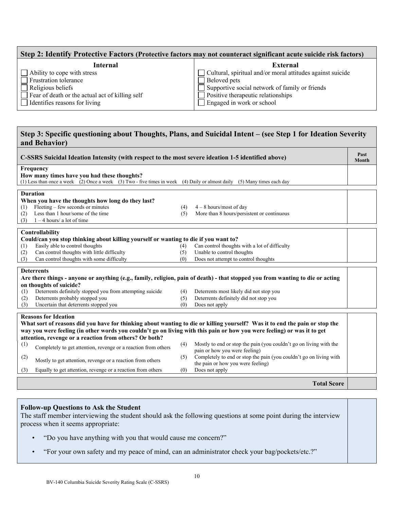| Step 2: Identify Protective Factors (Protective factors may not counteract significant acute suicide risk factors) |                                                                   |  |  |  |
|--------------------------------------------------------------------------------------------------------------------|-------------------------------------------------------------------|--|--|--|
| Internal                                                                                                           | External                                                          |  |  |  |
| $\Box$ Ability to cope with stress                                                                                 | $\Box$ Cultural, spiritual and/or moral attitudes against suicide |  |  |  |
| Frustration tolerance                                                                                              | $\Box$ Beloved pets                                               |  |  |  |
| $\Box$ Religious beliefs                                                                                           | $\Box$ Supportive social network of family or friends             |  |  |  |
| $\Box$ Fear of death or the actual act of killing self                                                             | $\Box$ Positive therapeutic relationships                         |  |  |  |
| $\Box$ Identifies reasons for living                                                                               | $\Box$ Engaged in work or school                                  |  |  |  |

#### **Step 3: Specific questioning about Thoughts, Plans, and Suicidal Intent – (see Step 1 for Ideation Severity and Behavior)**

| C-SSRS Suicidal Ideation Intensity (with respect to the most severe ideation 1-5 identified above)                             |     |                                                                    |  |
|--------------------------------------------------------------------------------------------------------------------------------|-----|--------------------------------------------------------------------|--|
| <b>Frequency</b>                                                                                                               |     |                                                                    |  |
| How many times have you had these thoughts?                                                                                    |     |                                                                    |  |
| (1) Less than once a week (2) Once a week (3) Two - five times in week (4) Daily or almost daily (5) Many times each day       |     |                                                                    |  |
|                                                                                                                                |     |                                                                    |  |
| <b>Duration</b>                                                                                                                |     |                                                                    |  |
| When you have the thoughts how long do they last?                                                                              |     |                                                                    |  |
| Fleeting – few seconds or minutes<br>(1)                                                                                       | (4) | $4-8$ hours/most of day                                            |  |
| Less than 1 hour/some of the time<br>(2)                                                                                       | (5) | More than 8 hours/persistent or continuous                         |  |
| $1 - 4$ hours/ a lot of time<br>(3)                                                                                            |     |                                                                    |  |
| Controllability                                                                                                                |     |                                                                    |  |
| Could/can you stop thinking about killing yourself or wanting to die if you want to?                                           |     |                                                                    |  |
| Easily able to control thoughts<br>(1)                                                                                         | (4) | Can control thoughts with a lot of difficulty                      |  |
| Can control thoughts with little difficulty<br>(2)                                                                             | (5) | Unable to control thoughts                                         |  |
| Can control thoughts with some difficulty<br>(3)                                                                               | (0) | Does not attempt to control thoughts                               |  |
|                                                                                                                                |     |                                                                    |  |
| <b>Deterrents</b>                                                                                                              |     |                                                                    |  |
| Are there things - anyone or anything (e.g., family, religion, pain of death) - that stopped you from wanting to die or acting |     |                                                                    |  |
| on thoughts of suicide?                                                                                                        |     |                                                                    |  |
| Deterrents definitely stopped you from attempting suicide<br>(1)                                                               | (4) | Deterrents most likely did not stop you                            |  |
| Deterrents probably stopped you<br>(2)                                                                                         | (5) | Deterrents definitely did not stop you                             |  |
| Uncertain that deterrents stopped you<br>(3)                                                                                   | (0) | Does not apply                                                     |  |
|                                                                                                                                |     |                                                                    |  |
| <b>Reasons for Ideation</b>                                                                                                    |     |                                                                    |  |
| What sort of reasons did you have for thinking about wanting to die or killing yourself? Was it to end the pain or stop the    |     |                                                                    |  |
| way you were feeling (in other words you couldn't go on living with this pain or how you were feeling) or was it to get        |     |                                                                    |  |
| attention, revenge or a reaction from others? Or both?                                                                         |     |                                                                    |  |
| (1)                                                                                                                            | (4) | Mostly to end or stop the pain (you couldn't go on living with the |  |
| Completely to get attention, revenge or a reaction from others                                                                 |     | pain or how you were feeling)                                      |  |
| (2)                                                                                                                            | (5) | Completely to end or stop the pain (you couldn't go on living with |  |
| Mostly to get attention, revenge or a reaction from others                                                                     |     | the pain or how you were feeling)                                  |  |
| Equally to get attention, revenge or a reaction from others<br>(3)                                                             | (0) | Does not apply                                                     |  |
|                                                                                                                                |     |                                                                    |  |
|                                                                                                                                |     | <b>Total Score</b>                                                 |  |

#### **Follow-up Questions to Ask the Student**  The staff member interviewing the student should ask the following questions at some point during the interview

process when it seems appropriate:

- "Do you have anything with you that would cause me concern?"
- "For your own safety and my peace of mind, can an administrator check your bag/pockets/etc.?"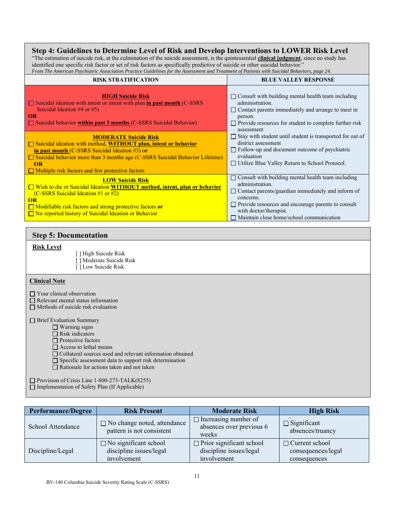#### **Step 4: Guidelines to Determine Level of Risk and Develop Interventions to LOWER Risk Level**

"The estimation of suicide risk, at the culmination of the suicide assessment, is the quintessential **clinical judgment**, since no study has identified one specific risk factor or set of risk factors as specifically predictive of suicide or other suicidal behavior."

| From The American Psychiatric Association Practice Guidelines for the Assessment and Treatment of Patients with Suicidal Behaviors, page 24.                                                                                                                                                                                                                                                                                                                                                                                                             |                                                                                                                                                                                                                                                                                                                                                                                                                                                               |  |  |  |
|----------------------------------------------------------------------------------------------------------------------------------------------------------------------------------------------------------------------------------------------------------------------------------------------------------------------------------------------------------------------------------------------------------------------------------------------------------------------------------------------------------------------------------------------------------|---------------------------------------------------------------------------------------------------------------------------------------------------------------------------------------------------------------------------------------------------------------------------------------------------------------------------------------------------------------------------------------------------------------------------------------------------------------|--|--|--|
| <b>RISK STRATIFICATION</b>                                                                                                                                                                                                                                                                                                                                                                                                                                                                                                                               | <b>BLUE VALLEY RESPONSE</b>                                                                                                                                                                                                                                                                                                                                                                                                                                   |  |  |  |
| <b>HIGH Suicide Risk</b><br>$\Box$ Suicidal ideation with intent or intent with plan in past month (C-SSRS<br>Suicidal Ideation #4 or #5)<br><b>OR</b><br>$\Box$ Suicidal behavior within past 3 months (C-SSRS Suicidal Behavior)<br><b>MODERATE Suicide Risk</b><br>□ Suicidal ideation with method, WITHOUT plan, intent or behavior<br>in past month (C-SSRS Suicidal Ideation #3) or<br>$\Box$ Suicidal behavior more than 3 months ago (C-SSRS Suicidal Behavior Lifetime)<br><b>OR</b><br>$\Box$ Multiple risk factors and few protective factors | $\Box$ Consult with building mental health team including<br>administration.<br>$\Box$ Contact parents immediately and arrange to meet in<br>person.<br>$\Box$ Provide resources for student to complete further risk<br>assessment<br>$\Box$ Stay with student until student is transported for out of<br>district assessment<br>$\Box$ Follow-up and document outcome of psychiatric<br>evaluation<br>$\Box$ Utilize Blue Valley Return to School Protocol. |  |  |  |
| <b>LOW Suicide Risk</b><br>□ Wish to die or Suicidal Ideation WITHOUT method, intent, plan or behavior<br>(C-SSRS Suicidal Ideation #1 or #2)<br>OR<br>$\Box$ Modifiable risk factors and strong protective factors or<br>$\Box$ No reported history of Suicidal Ideation or Behavior                                                                                                                                                                                                                                                                    | $\Box$ Consult with building mental health team including<br>administration.<br>$\Box$ Contact parents/guardian immediately and inform of<br>concerns.<br>$\Box$ Provide resources and encourage parents to consult<br>with doctor/therapist.<br>$\Box$ Maintain close home/school communication                                                                                                                                                              |  |  |  |

#### **Step 5: Documentation**

#### **Risk Level**

[ ] High Suicide Risk [] Moderate Suicide Risk [ ] Low Suicide Risk

#### **Clinical Note**

□ Your clinical observation

- Relevant mental status information
- $\Box$  Methods of suicide risk evaluation

**Brief Evaluation Summary** 

□ Warning signs

Risk indicators

Protective factors

 $\hfill\Box$  <br> Access to lethal means

Collateral sources used and relevant information obtained

Specific assessment data to support risk determination

Rationale for actions taken and not taken

Provision of Crisis Line 1-800-273-TALK(8255)  $\Box$  Implementation of Safety Plan (If Applicable)

| <b>Performance/Degree</b> | <b>Risk Present</b>                                                    | <b>Moderate Risk</b>                                                      | <b>High Risk</b>                                            |
|---------------------------|------------------------------------------------------------------------|---------------------------------------------------------------------------|-------------------------------------------------------------|
| School Attendance         | $\Box$ No change noted, attendance<br>pattern is not consistent        | $\Box$ Increasing number of<br>absences over previous 6<br>weeks          | $\Box$ Significant<br>absences/truancy                      |
| Discipline/Legal          | $\Box$ No significant school<br>discipline issues/legal<br>involvement | $\Box$ Prior significant school<br>discipline issues/legal<br>involvement | $\Box$ Current school<br>consequences/legal<br>consequences |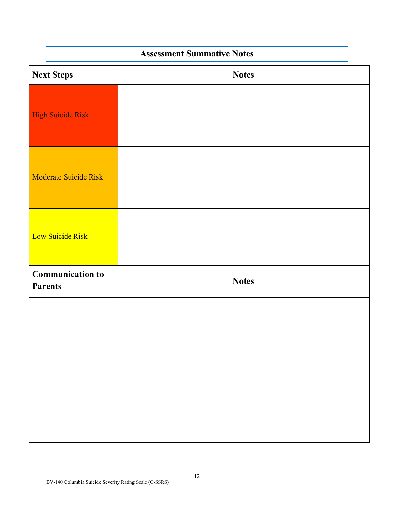## **Assessment Summative Notes**

| <b>Next Steps</b>                         | <b>Notes</b> |
|-------------------------------------------|--------------|
| <b>High Suicide Risk</b>                  |              |
| Moderate Suicide Risk                     |              |
| Low Suicide Risk                          |              |
| <b>Communication to</b><br><b>Parents</b> | <b>Notes</b> |
|                                           |              |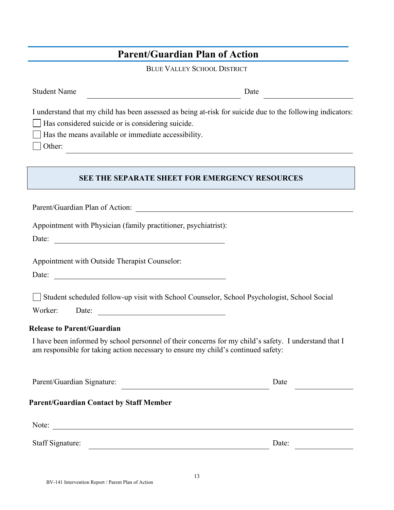## **Parent/Guardian Plan of Action**

BLUE VALLEY SCHOOL DISTRICT

| <b>Student Name</b>                                                                                                                                                                                                                                                                                                                                       | Date  |  |  |
|-----------------------------------------------------------------------------------------------------------------------------------------------------------------------------------------------------------------------------------------------------------------------------------------------------------------------------------------------------------|-------|--|--|
| I understand that my child has been assessed as being at-risk for suicide due to the following indicators:<br>Has considered suicide or is considering suicide.<br>Has the means available or immediate accessibility.<br>Other:<br><u> 1980 - John Stein, mars and der Stein Stein Stein Stein Stein Stein Stein Stein Stein Stein Stein Stein Stein</u> |       |  |  |
| <b>SEE THE SEPARATE SHEET FOR EMERGENCY RESOURCES</b>                                                                                                                                                                                                                                                                                                     |       |  |  |
|                                                                                                                                                                                                                                                                                                                                                           |       |  |  |
| Appointment with Physician (family practitioner, psychiatrist):<br>Date:                                                                                                                                                                                                                                                                                  |       |  |  |
| Appointment with Outside Therapist Counselor:<br><u> 1980 - Johann Barn, mars ann an t-Amhain Aonaich an t-Aonaich an t-Aonaich ann an t-Aonaich ann an t-Aonaich</u><br>Date:                                                                                                                                                                            |       |  |  |
| Student scheduled follow-up visit with School Counselor, School Psychologist, School Social<br>Worker:<br>Date:<br><u> Alexandria de la contrada de la contrada de la contrada de la contrada de la contrada de la contrada de la c</u>                                                                                                                   |       |  |  |
| <b>Release to Parent/Guardian</b>                                                                                                                                                                                                                                                                                                                         |       |  |  |
| I have been informed by school personnel of their concerns for my child's safety. I understand that I<br>am responsible for taking action necessary to ensure my child's continued safety:                                                                                                                                                                |       |  |  |
| Parent/Guardian Signature:                                                                                                                                                                                                                                                                                                                                | Date  |  |  |
| <b>Parent/Guardian Contact by Staff Member</b>                                                                                                                                                                                                                                                                                                            |       |  |  |
| Note:                                                                                                                                                                                                                                                                                                                                                     |       |  |  |
| Staff Signature:                                                                                                                                                                                                                                                                                                                                          | Date: |  |  |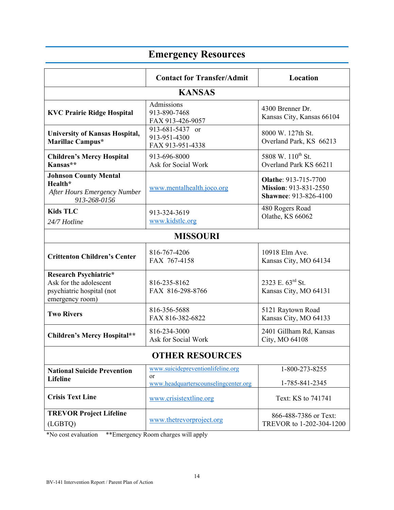#### **Contact for Transfer/Admit Location KANSAS KVC Prairie Ridge Hospital Admissions** 913-890-7468 FAX 913-426-9057 4300 Brenner Dr. Kansas City, Kansas 66104 **University of Kansas Hospital, Marillac Campus\***  913-681-5437 or 913-951-4300 FAX 913-951-4338 8000 W. 127th St. Overland Park, KS 66213 **Children's Mercy Hospital Kansas\*\***  913-696-8000 Ask for Social Work 5808 W. 110<sup>th</sup> St. Overland Park KS 66211 **Johnson County Mental Health\*** *After Hours Emergency Number 913-268-0156* www.mentalhealth.joco.org **Olathe**: 913-715-7700 **Mission**: 913-831-2550 **Shawnee**: 913-826-4100 **Kids TLC**  *24/7 Hotline* 913-324-3619 www.kidstlc.org 480 Rogers Road Olathe, KS 66062 **MISSOURI Crittenton Children's Center** 816-767-4206 FAX 767-4158 10918 Elm Ave. Kansas City, MO 64134 **Research Psychiatric\*** Ask for the adolescent psychiatric hospital (not emergency room) 816-235-8162 FAX 816-298-8766 2323 E. 63rd St. Kansas City, MO 64131 **Two Rivers** 816-356-5688 FAX 816-382-6822 5121 Raytown Road Kansas City, MO 64133 **Children's Mercy Hospital\*\*** 816-234-3000 Ask for Social Work 2401 Gillham Rd, Kansas City, MO 64108 **OTHER RESOURCES National Suicide Prevention Lifeline**  www.suicidepreventionlifeline.org or www.headquarterscounselingcenter.org 1-800-273-8255 1-785-841-2345 **Crisis Text Line WWW.crisistextline.org** Text: KS to 741741 **TREVOR Project Lifeline**  TREVOR Project Liteline<br>  $(LGBTQ)$  Www.thetrevorproject.org TREVOR to 1-202-304-1200

**Emergency Resources** 

\*No cost evaluation \*\*Emergency Room charges will apply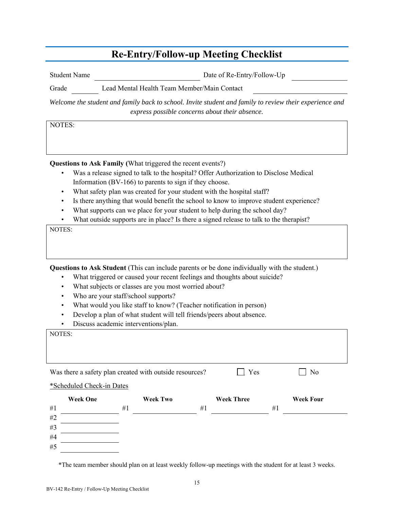## **Re-Entry/Follow-up Meeting Checklist**

Student Name Date of Re-Entry/Follow-Up

Grade Lead Mental Health Team Member/Main Contact

*Welcome the student and family back to school. Invite student and family to review their experience and express possible concerns about their absence.* 

NOTES:

**Questions to Ask Family (**What triggered the recent events?)

- Was a release signed to talk to the hospital? Offer Authorization to Disclose Medical Information (BV-166) to parents to sign if they choose.
- What safety plan was created for your student with the hospital staff?
- Is there anything that would benefit the school to know to improve student experience?
- What supports can we place for your student to help during the school day?
- What outside supports are in place? Is there a signed release to talk to the therapist?

NOTES:

**Questions to Ask Student** (This can include parents or be done individually with the student.)

- What triggered or caused your recent feelings and thoughts about suicide?
- What subjects or classes are you most worried about?
- Who are your staff/school supports?
- What would you like staff to know? (Teacher notification in person)
- Develop a plan of what student will tell friends/peers about absence.
- Discuss academic interventions/plan.

| NOTES:                    |    |                                                         |                   |                  |
|---------------------------|----|---------------------------------------------------------|-------------------|------------------|
|                           |    |                                                         |                   |                  |
|                           |    |                                                         |                   |                  |
|                           |    | Was there a safety plan created with outside resources? | Yes               | N <sub>o</sub>   |
| *Scheduled Check-in Dates |    |                                                         |                   |                  |
| <b>Week One</b>           |    | <b>Week Two</b>                                         | <b>Week Three</b> | <b>Week Four</b> |
| #1                        | #1 | #1                                                      |                   | #1               |
| #2                        |    |                                                         |                   |                  |
| #3                        |    |                                                         |                   |                  |
| #4                        |    |                                                         |                   |                  |
| #5                        |    |                                                         |                   |                  |

\*The team member should plan on at least weekly follow-up meetings with the student for at least 3 weeks.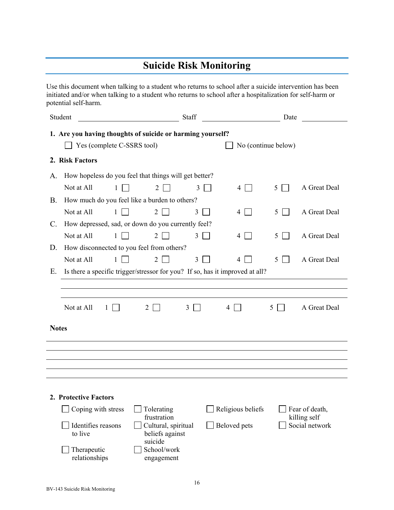## **Suicide Risk Monitoring**

Use this document when talking to a student who returns to school after a suicide intervention has been initiated and/or when talking to a student who returns to school after a hospitalization for self-harm or potential self-harm.

|              | Student                                                                      |                            | Staff                                                            |   |                     | Date |                                |
|--------------|------------------------------------------------------------------------------|----------------------------|------------------------------------------------------------------|---|---------------------|------|--------------------------------|
|              | 1. Are you having thoughts of suicide or harming yourself?                   | Yes (complete C-SSRS tool) |                                                                  |   | No (continue below) |      |                                |
|              | 2. Risk Factors                                                              |                            |                                                                  |   |                     |      |                                |
| A.           | How hopeless do you feel that things will get better?                        |                            |                                                                  |   |                     |      |                                |
|              | Not at All                                                                   | $\mathbf{1}$               | $\overline{2}$                                                   | 3 | $4 \mid$            | 5    | A Great Deal                   |
| <b>B.</b>    | How much do you feel like a burden to others?                                |                            |                                                                  |   |                     |      |                                |
|              | Not at All                                                                   | 1                          | $\overline{2}$                                                   | 3 | $\perp$<br>4        | 5    | A Great Deal                   |
| C.           | How depressed, sad, or down do you currently feel?                           |                            |                                                                  |   |                     |      |                                |
|              | Not at All                                                                   | 1                          | $\overline{2}$                                                   | 3 | 4<br>$\perp$        | 5    | A Great Deal                   |
| D.           | How disconnected to you feel from others?                                    |                            |                                                                  |   |                     |      |                                |
|              | Not at All                                                                   | 1                          | $\overline{2}$                                                   | 3 | 4                   | 5.   | A Great Deal                   |
| Е.           | Is there a specific trigger/stressor for you? If so, has it improved at all? |                            |                                                                  |   |                     |      |                                |
|              |                                                                              |                            |                                                                  |   |                     |      |                                |
|              |                                                                              |                            |                                                                  |   |                     |      |                                |
|              | Not at All                                                                   | 2                          | 3                                                                |   | 4                   | 5.   | A Great Deal                   |
| <b>Notes</b> |                                                                              |                            |                                                                  |   |                     |      |                                |
|              |                                                                              |                            |                                                                  |   |                     |      |                                |
|              |                                                                              |                            |                                                                  |   |                     |      |                                |
|              |                                                                              |                            |                                                                  |   |                     |      |                                |
|              | 2. Protective Factors                                                        |                            |                                                                  |   |                     |      |                                |
|              | Coping with stress                                                           |                            | Tolerating                                                       |   | Religious beliefs   |      | Fear of death,                 |
|              | Identifies reasons<br>to live                                                |                            | frustration<br>Cultural, spiritual<br>beliefs against<br>suicide |   | Beloved pets        |      | killing self<br>Social network |
|              | Therapeutic<br>relationships                                                 |                            | School/work<br>engagement                                        |   |                     |      |                                |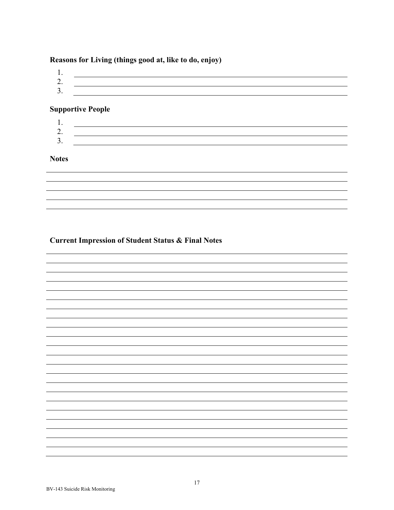#### **Reasons for Living (things good at, like to do, enjoy)**

- 1. 2. <u> 1989 - Johann Stoff, deutscher Stoffen und der Stoffen und der Stoffen und der Stoffen und der Stoffen und der</u>
- 3.

#### **Supportive People**

1. 2. 3.

#### **Notes**

#### **Current Impression of Student Status & Final Notes**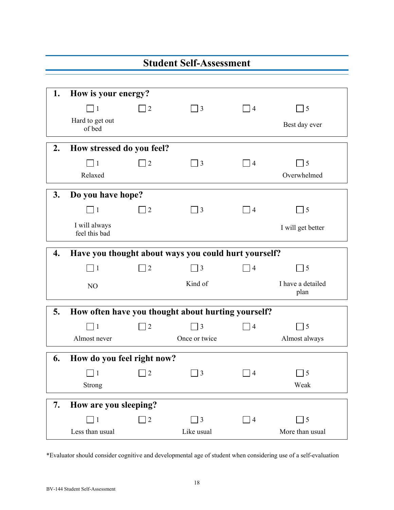|    |                                                      |                | <b>Student Self-Assessment</b>                     |           |                            |  |
|----|------------------------------------------------------|----------------|----------------------------------------------------|-----------|----------------------------|--|
|    |                                                      |                |                                                    |           |                            |  |
| 1. | How is your energy?                                  |                |                                                    |           |                            |  |
|    | $\mathbf{1}$                                         | 2              | $\vert$ 3                                          | 4         | $\overline{\phantom{a}}$ 5 |  |
|    | Hard to get out<br>of bed                            |                |                                                    |           | Best day ever              |  |
| 2. | How stressed do you feel?                            |                |                                                    |           |                            |  |
|    | $\sqsupset$ 1                                        | $\overline{2}$ | $\Box$ 3                                           | 4         | $\overline{\phantom{0}}$ 5 |  |
|    | Relaxed                                              |                |                                                    |           | Overwhelmed                |  |
| 3. | Do you have hope?                                    |                |                                                    |           |                            |  |
|    | $\Box$ 1                                             | $\overline{2}$ | $\Box$ 3                                           | 4         | $\overline{\phantom{0}}$ 5 |  |
|    | I will always<br>feel this bad                       |                |                                                    |           | I will get better          |  |
|    | Have you thought about ways you could hurt yourself? |                |                                                    |           |                            |  |
| 4. |                                                      |                |                                                    |           |                            |  |
|    | $\Box$ 1                                             | $\overline{2}$ | $\Box$ 3                                           | 4         | $\Box$ 5                   |  |
|    | NO                                                   |                | Kind of                                            |           | I have a detailed<br>plan  |  |
| 5. |                                                      |                | How often have you thought about hurting yourself? |           |                            |  |
|    | $\mathbf{1}$                                         | $\overline{2}$ | $\Box$ 3                                           | $\vert 4$ | $\overline{\phantom{0}}$ 5 |  |
|    | Almost never                                         |                | Once or twice                                      |           | Almost always              |  |
| 6. |                                                      |                |                                                    |           |                            |  |
|    | How do you feel right now?                           |                |                                                    |           |                            |  |
|    | $\mathbf{1}$<br>Strong                               | $\overline{2}$ | $\Box$ 3                                           | 4         | $\Box$ 5<br>Weak           |  |
| 7. | How are you sleeping?                                |                |                                                    |           |                            |  |
|    | $\mathbf{1}$                                         | $\sqrt{2}$     | $\Box$ 3                                           | $\vert 4$ | $\overline{5}$             |  |

\*Evaluator should consider cognitive and developmental age of student when considering use of a self-evaluation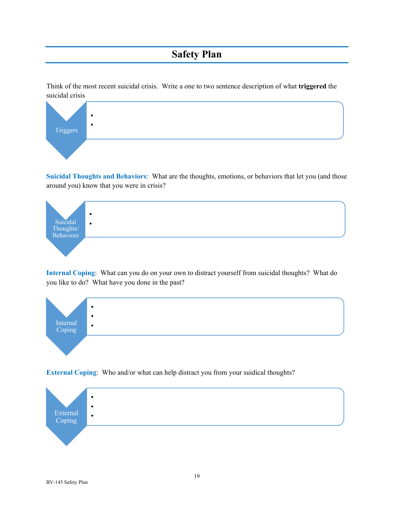## **Safety Plan**

Think of the most recent suicidal crisis. Write a one to two sentence description of what **triggered** the suicidal crisis



**Suicidal Thoughts and Behaviors**: What are the thoughts, emotions, or behaviors that let you (and those around you) know that you were in crisis?



**Internal Coping**: What can you do on your own to distract yourself from suicidal thoughts? What do you like to do? What have you done in the past?



**External Coping**: Who and/or what can help distract you from your suidical thoughts?

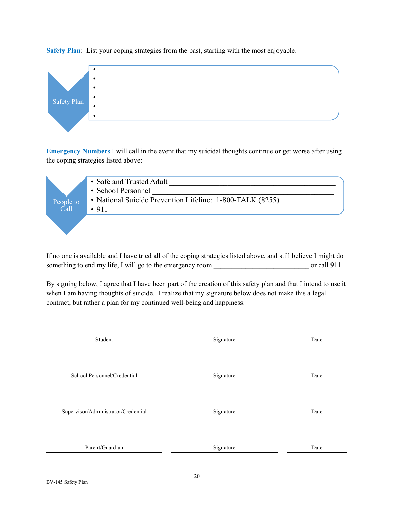**Safety Plan**: List your coping strategies from the past, starting with the most enjoyable.



**Emergency Numbers** I will call in the event that my suicidal thoughts continue or get worse after using the coping strategies listed above:

| People to<br>$\overline{Cal}$ | • Safe and Trusted Adult<br>• School Personnel<br>• National Suicide Prevention Lifeline: 1-800-TALK (8255)<br>•911 |
|-------------------------------|---------------------------------------------------------------------------------------------------------------------|
|                               |                                                                                                                     |

If no one is available and I have tried all of the coping strategies listed above, and still believe I might do something to end my life, I will go to the emergency room \_\_\_\_\_\_\_\_\_\_\_\_\_\_\_\_\_\_\_\_\_\_\_\_\_\_\_ or call 911.

By signing below, I agree that I have been part of the creation of this safety plan and that I intend to use it when I am having thoughts of suicide. I realize that my signature below does not make this a legal contract, but rather a plan for my continued well-being and happiness.

| Student                             | Signature | Date |
|-------------------------------------|-----------|------|
| School Personnel/Credential         | Signature | Date |
| Supervisor/Administrator/Credential | Signature | Date |
| Parent/Guardian                     | Signature | Date |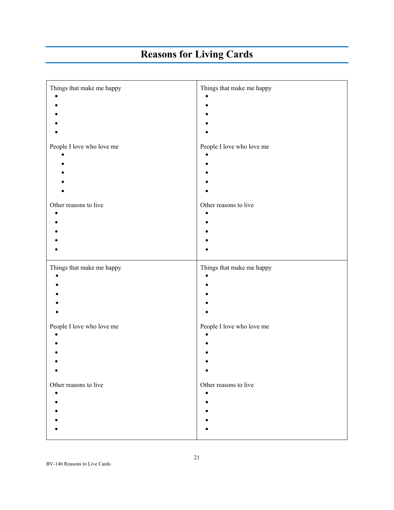## **Reasons for Living Cards**

| Things that make me happy           | Things that make me happy          |
|-------------------------------------|------------------------------------|
|                                     |                                    |
|                                     |                                    |
|                                     |                                    |
| People I love who love me           | People I love who love me          |
|                                     |                                    |
|                                     |                                    |
|                                     |                                    |
| Other reasons to live               | Other reasons to live              |
|                                     |                                    |
|                                     |                                    |
|                                     |                                    |
| Things that make me happy           | Things that make me happy          |
|                                     |                                    |
|                                     |                                    |
|                                     |                                    |
| People I love who love me           | People I love who love me          |
|                                     |                                    |
|                                     |                                    |
|                                     |                                    |
| Other reasons to live<br>$\epsilon$ | Other reasons to live<br>$\bullet$ |
|                                     |                                    |
|                                     |                                    |
|                                     |                                    |